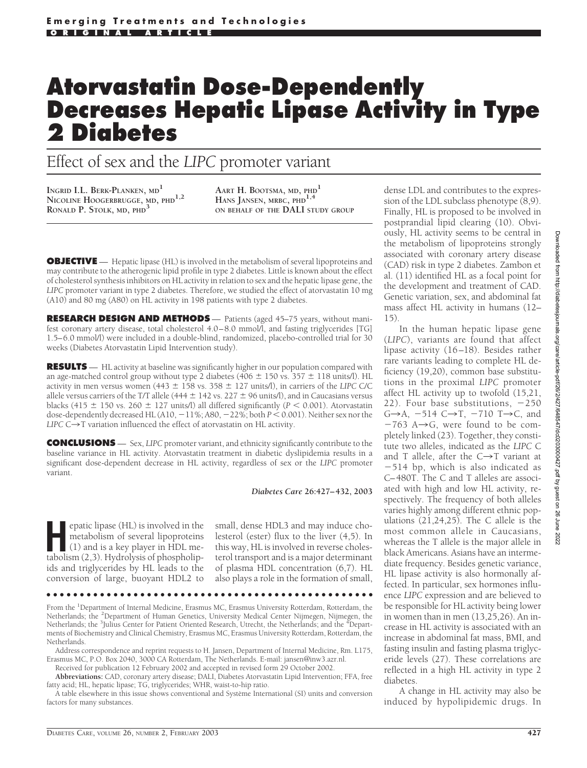# **Atorvastatin Dose-Dependently Decreases Hepatic Lipase Activity in Type 2 Diabetes**

# Effect of sex and the *LIPC* promoter variant

**INGRID I.L. BERK-PLANKEN, MD<sup>1</sup> NICOLINE HOOGERBRUGGE, MD, PHD1,2 RONALD P. STOLK, MD, PHD<sup>3</sup>**

**AART H. BOOTSMA, MD, PHD<sup>1</sup> HANS JANSEN, MRBC, PHD1,4 ON BEHALF OF THE DALI STUDY GROUP**

**OBJECTIVE** — Hepatic lipase (HL) is involved in the metabolism of several lipoproteins and may contribute to the atherogenic lipid profile in type 2 diabetes. Little is known about the effect of cholesterol synthesis inhibitors on HL activity in relation to sex and the hepatic lipase gene, the *LIPC* promoter variant in type 2 diabetes. Therefore, we studied the effect of atorvastatin 10 mg (A10) and 80 mg (A80) on HL activity in 198 patients with type 2 diabetes.

**RESEARCH DESIGN AND METHODS** — Patients (aged 45–75 years, without manifest coronary artery disease, total cholesterol 4.0–8.0 mmol/l, and fasting triglycerides [TG] 1.5–6.0 mmol/l) were included in a double-blind, randomized, placebo-controlled trial for 30 weeks (Diabetes Atorvastatin Lipid Intervention study).

**RESULTS** — HL activity at baseline was significantly higher in our population compared with an age-matched control group without type 2 diabetes (406  $\pm$  150 vs. 357  $\pm$  118 units/l). HL activity in men versus women (443  $\pm$  158 vs. 358  $\pm$  127 units/l), in carriers of the *LIPC* C/C allele versus carriers of the T/T allele (444  $\pm$  142 vs. 227  $\pm$  96 units/l), and in Caucasians versus blacks (415  $\pm$  150 vs. 260  $\pm$  127 units/l) all differed significantly ( $P < 0.001$ ). Atorvastatin dose-dependently decreased HL (A10,  $-11\%$ ; A80,  $-22\%$ ; both  $P < 0.001$ ). Neither sex nor the *LIPC*  $C \rightarrow T$  variation influenced the effect of atorvastatin on HL activity.

**CONCLUSIONS** — Sex, *LIPC* promoter variant, and ethnicity significantly contribute to the baseline variance in HL activity. Atorvastatin treatment in diabetic dyslipidemia results in a significant dose-dependent decrease in HL activity, regardless of sex or the *LIPC* promoter variant.

*Diabetes Care* **26:427–432, 2003**

**H**epatic lipase (HL) is involved in the (1) and is a key player in HDL memetabolism of several lipoproteins tabolism (2,3). Hydrolysis of phospholipids and triglycerides by HL leads to the conversion of large, buoyant HDL2 to

small, dense HDL3 and may induce cholesterol (ester) flux to the liver (4,5). In this way, HL is involved in reverse cholesterol transport and is a major determinant of plasma HDL concentration (6,7). HL also plays a role in the formation of small,

●●●●●●●●●●●●●●●●●●●●●●●●●●●●●●●●●●●●●●●●●●●●●●●●●

From the <sup>1</sup>Department of Internal Medicine, Erasmus MC, Erasmus University Rotterdam, Rotterdam, the Netherlands; the <sup>2</sup>Department of Human Genetics, University Medical Center Nijmegen, Nijmegen, the Netherlands; the <sup>3</sup>Julius Center for Patient Oriented Research, Utrecht, the Netherlands; and the <sup>4</sup>Departments of Biochemistry and Clinical Chemistry, Erasmus MC, Erasmus University Rotterdam, Rotterdam, the Netherlands.

Address correspondence and reprint requests to H. Jansen, Department of Internal Medicine, Rm. L175, Erasmus MC, P.O. Box 2040, 3000 CA Rotterdam, The Netherlands. E-mail: jansen@inw3.azr.nl.

Received for publication 12 February 2002 and accepted in revised form 29 October 2002.

**Abbreviations:** CAD, coronary artery disease; DALI, Diabetes Atorvastatin Lipid Intervention; FFA, free fatty acid; HL, hepatic lipase; TG, triglycerides; WHR, waist-to-hip ratio.

A table elsewhere in this issue shows conventional and Système International (SI) units and conversion factors for many substances.

dense LDL and contributes to the expression of the LDL subclass phenotype (8,9). Finally, HL is proposed to be involved in postprandial lipid clearing (10). Obviously, HL activity seems to be central in the metabolism of lipoproteins strongly associated with coronary artery disease (CAD) risk in type 2 diabetes. Zambon et al. (11) identified HL as a focal point for the development and treatment of CAD. Genetic variation, sex, and abdominal fat mass affect HL activity in humans (12– 15).

In the human hepatic lipase gene (*LIPC*), variants are found that affect lipase activity (16–18). Besides rather rare variants leading to complete HL deficiency (19,20), common base substitutions in the proximal *LIPC* promoter affect HL activity up to twofold (15,21, 22). Four base substitutions,  $-250$  $G\rightarrow A$ , -514  $C\rightarrow T$ , -710 T $\rightarrow C$ , and  $-763$  A $\rightarrow$ G, were found to be completely linked (23). Together, they constitute two alleles, indicated as the *LIPC* C and T allele, after the  $C\rightarrow T$  variant at 514 bp, which is also indicated as C–480T. The C and T alleles are associated with high and low HL activity, respectively. The frequency of both alleles varies highly among different ethnic populations (21,24,25). The C allele is the most common allele in Caucasians, whereas the T allele is the major allele in black Americans. Asians have an intermediate frequency. Besides genetic variance, HL lipase activity is also hormonally affected. In particular, sex hormones influence *LIPC* expression and are believed to be responsible for HL activity being lower in women than in men (13,25,26). An increase in HL activity is associated with an increase in abdominal fat mass, BMI, and fasting insulin and fasting plasma triglyceride levels (27). These correlations are reflected in a high HL activity in type 2 diabetes.

A change in HL activity may also be induced by hypolipidemic drugs. In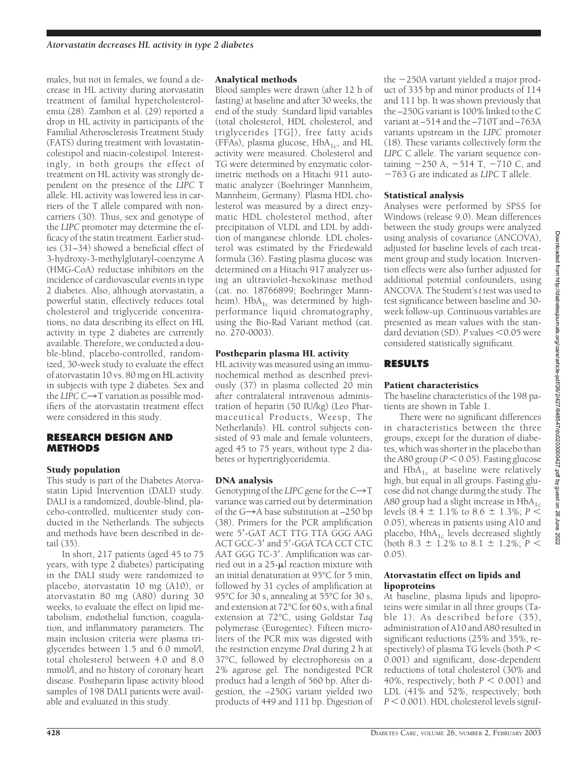males, but not in females, we found a decrease in HL activity during atorvastatin treatment of familial hypercholesterolemia (28). Zambon et al. (29) reported a drop in HL activity in participants of the Familial Atherosclerosis Treatment Study (FATS) during treatment with lovastatincolestipol and niacin-colestipol. Interestingly, in both groups the effect of treatment on HL activity was strongly dependent on the presence of the *LIPC* T allele. HL activity was lowered less in carriers of the T allele compared with noncarriers (30). Thus, sex and genotype of the *LIPC* promoter may determine the efficacy of the statin treatment. Earlier studies (31–34) showed a beneficial effect of 3-hydroxy-3-methylglutaryl-coenzyme A (HMG-CoA) reductase inhibitors on the incidence of cardiovascular events in type 2 diabetes. Also, although atorvastatin, a powerful statin, effectively reduces total cholesterol and triglyceride concentrations, no data describing its effect on HL activity in type 2 diabetes are currently available. Therefore, we conducted a double-blind, placebo-controlled, randomized, 30-week study to evaluate the effect of atorvastatin 10 vs. 80 mg on HL activity in subjects with type 2 diabetes. Sex and the *LIPC*  $C \rightarrow T$  variation as possible modifiers of the atorvastatin treatment effect were considered in this study.

#### **RESEARCH DESIGN AND METHODS**

# Study population

This study is part of the Diabetes Atorvastatin Lipid Intervention (DALI) study. DALI is a randomized, double-blind, placebo-controlled, multicenter study conducted in the Netherlands. The subjects and methods have been described in detail (35).

In short, 217 patients (aged 45 to 75 years, with type 2 diabetes) participating in the DALI study were randomized to placebo, atorvastatin 10 mg (A10), or atorvastatin 80 mg (A80) during 30 weeks, to evaluate the effect on lipid metabolism, endothelial function, coagulation, and inflammatory parameters. The main inclusion criteria were plasma triglycerides between 1.5 and 6.0 mmol/l, total cholesterol between 4.0 and 8.0 mmol/l, and no history of coronary heart disease. Postheparin lipase activity blood samples of 198 DALI patients were available and evaluated in this study.

# Analytical methods

Blood samples were drawn (after 12 h of fasting) at baseline and after 30 weeks, the end of the study. Standard lipid variables (total cholesterol, HDL cholesterol, and triglycerides [TG]), free fatty acids (FFAs), plasma glucose,  $HbA_{1c}$ , and HL activity were measured. Cholesterol and TG were determined by enzymatic colorimetric methods on a Hitachi 911 automatic analyzer (Boehringer Mannheim, Mannheim, Germany). Plasma HDL cholesterol was measured by a direct enzymatic HDL cholesterol method, after precipitation of VLDL and LDL by addition of manganese chloride. LDL cholesterol was estimated by the Friedewald formula (36). Fasting plasma glucose was determined on a Hitachi 917 analyzer using an ultraviolet-hexokinase method (cat. no. 18766899; Boehringer Mannheim).  $HbA_{1c}$  was determined by highperformance liquid chromatography, using the Bio-Rad Variant method (cat. no. 270-0003).

# Postheparin plasma HL activity

HL activity was measured using an immunochemical method as described previously (37) in plasma collected 20 min after contralateral intravenous administration of heparin (50 IU/kg) (Leo Pharmaceutical Products, Weesp, The Netherlands). HL control subjects consisted of 93 male and female volunteers, aged 45 to 75 years, without type 2 diabetes or hypertriglyceridemia.

# DNA analysis

Genotyping of the *LIPC* gene for the  $C\rightarrow T$ variance was carried out by determination of the  $G\rightarrow A$  base substitution at  $-250$  bp (38). Primers for the PCR amplification were 5'-GAT ACT TTG TTA GGG AAG ACT GCC-3' and 5'-GGA TCA CCT CTC AAT GGG TC-3'. Amplification was carried out in a  $25$ - $\mu$ l reaction mixture with an initial denaturation at 95°C for 5 min, followed by 31 cycles of amplification at 95°C for 30 s, annealing at 55°C for 30 s, and extension at 72°C for 60 s, with a final extension at 72°C, using Goldstar *Taq* polymerase (Eurogentec). Fifteen microliters of the PCR mix was digested with the restriction enzyme *Dra*I during 2 h at 37°C, followed by electrophoresis on a 2% agarose gel. The nondigested PCR product had a length of 560 bp. After digestion, the –250G variant yielded two products of 449 and 111 bp. Digestion of

the 250A variant yielded a major product of 335 bp and minor products of 114 and 111 bp. It was shown previously that the –250G variant is 100% linked to the C variant at –514 and the –710T and –763A variants upstream in the *LIPC* promoter (18). These variants collectively form the *LIPC* C allele. The variant sequence containing  $-250$  A,  $-514$  T,  $-710$  C, and 763 G are indicated as *LIPC* T allele.

# Statistical analysis

Analyses were performed by SPSS for Windows (release 9.0). Mean differences between the study groups were analyzed using analysis of covariance (ANCOVA), adjusted for baseline levels of each treatment group and study location. Intervention effects were also further adjusted for additional potential confounders, using ANCOVA. The Student's*t* test was used to test significance between baseline and 30 week follow-up. Continuous variables are presented as mean values with the standard deviation (SD). P values <0.05 were considered statistically significant.

#### **RESULTS**

### Patient characteristics

The baseline characteristics of the 198 patients are shown in Table 1.

There were no significant differences in characteristics between the three groups, except for the duration of diabetes, which was shorter in the placebo than the A80 group ( $P < 0.05$ ). Fasting glucose and  $HbA_{1c}$  at baseline were relatively high, but equal in all groups. Fasting glucose did not change during the study. The A80 group had a slight increase in  $HbA_{1c}$ levels (8.4  $\pm$  1.1% to 8.6  $\pm$  1.3%; *P* < 0.05), whereas in patients using A10 and placebo,  $HbA_{1c}$  levels decreased slightly (both 8.3  $\pm$  1.2% to 8.1  $\pm$  1.2%; *P* < 0.05).

#### Atorvastatin effect on lipids and lipoproteins

At baseline, plasma lipids and lipoproteins were similar in all three groups (Table 1). As described before (35), administration of A10 and A80 resulted in significant reductions (25% and 35%, respectively) of plasma TG levels (both *P*  $<$ 0.001) and significant, dose-dependent reductions of total cholesterol (30% and 40%, respectively; both  $P < 0.001$ ) and LDL (41% and 52%, respectively; both  $P < 0.001$ ). HDL cholesterol levels signif-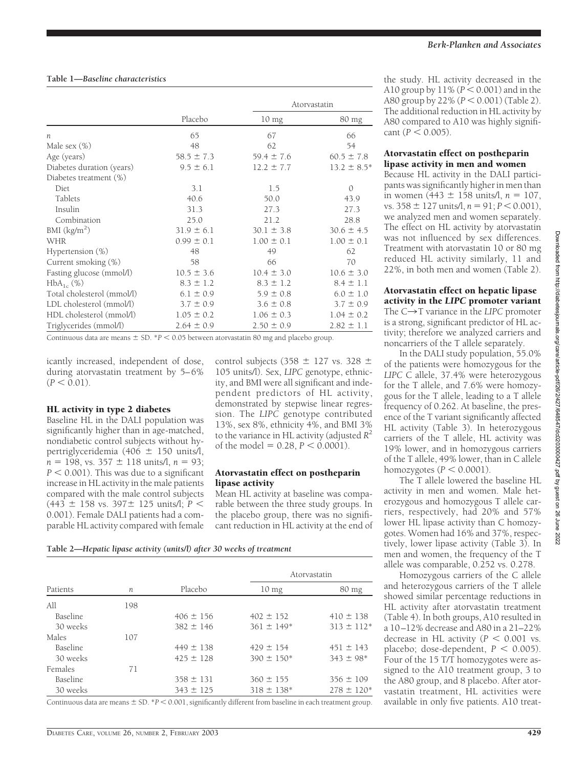|                            |                | Atorvastatin     |                  |
|----------------------------|----------------|------------------|------------------|
|                            | Placebo        | 10 <sub>mg</sub> | 80 mg            |
| $\boldsymbol{n}$           | 65             | 67               | 66               |
| Male sex (%)               | 48             | 62               | 54               |
| Age (years)                | $58.5 \pm 7.3$ | $59.4 \pm 7.6$   | $60.5 \pm 7.8$   |
| Diabetes duration (years)  | $9.5 \pm 6.1$  | $12.2 \pm 7.7$   | $13.2 \pm 8.5^*$ |
| Diabetes treatment (%)     |                |                  |                  |
| Diet                       | 3.1            | 1.5              | $\mathcal{O}$    |
| Tablets                    | 40.6           | 50.0             | 43.9             |
| Insulin                    | 31.3           | 27.3             | 27.3             |
| Combination                | 25.0           | 21.2             | 28.8             |
| BMI (kg/m <sup>2</sup> )   | $31.9 \pm 6.1$ | $30.1 \pm 3.8$   | $30.6 \pm 4.5$   |
| <b>WHR</b>                 | $0.99 \pm 0.1$ | $1.00 \pm 0.1$   | $1.00 \pm 0.1$   |
| Hypertension $(\%)$        | 48             | 49               | 62               |
| Current smoking (%)        | 58             | 66               | 70               |
| Fasting glucose (mmol/l)   | $10.5 \pm 3.6$ | $10.4 \pm 3.0$   | $10.6 \pm 3.0$   |
| $HbA_{1c}$ (%)             | $8.3 \pm 1.2$  | $8.3 \pm 1.2$    | $8.4 \pm 1.1$    |
| Total cholesterol (mmol/l) | $6.1 \pm 0.9$  | $5.9 \pm 0.8$    | $6.0 \pm 1.0$    |
| LDL cholesterol (mmol/l)   | $3.7 \pm 0.9$  | $3.6 \pm 0.8$    | $3.7 \pm 0.9$    |
| HDL cholesterol (mmol/l)   | $1.05 \pm 0.2$ | $1.06 \pm 0.3$   | $1.04 \pm 0.2$   |
| Triglycerides (mmol/l)     | $2.64 \pm 0.9$ | $2.50 \pm 0.9$   | $2.82 \pm 1.1$   |

Continuous data are means  $\pm$  SD.  $^{*}P$  < 0.05 between atorvastatin 80 mg and placebo group.

icantly increased, independent of dose, during atorvastatin treatment by 5–6%  $(P < 0.01)$ .

#### HL activity in type 2 diabetes

Baseline HL in the DALI population was significantly higher than in age-matched, nondiabetic control subjects without hypertriglyceridemia (406  $\pm$  150 units/l,  $n = 198$ , vs. 357  $\pm$  118 units/l,  $n = 93$ ;  $P < 0.001$ ). This was due to a significant increase in HL activity in the male patients compared with the male control subjects  $(443 \pm 158 \text{ vs. } 397 \pm 125 \text{ units/}!)$ ;  $P <$ 0.001). Female DALI patients had a comparable HL activity compared with female control subjects (358  $\pm$  127 vs. 328  $\pm$ 105 units/l). Sex, *LIPC* genotype, ethnicity, and BMI were all significant and independent predictors of HL activity, demonstrated by stepwise linear regression. The *LIPC* genotype contributed 13%, sex 8%, ethnicity 4%, and BMI 3% to the variance in HL activity (adjusted *R*<sup>2</sup> of the model  $= 0.28, P < 0.0001$ ).

#### Atorvastatin effect on postheparin lipase activity

Mean HL activity at baseline was comparable between the three study groups. In the placebo group, there was no significant reduction in HL activity at the end of

#### **Table 2—***Hepatic lipase activity (units/l) after 30 weeks of treatment*

|                 |     | Placebo       | Atorvastatin               |                 |
|-----------------|-----|---------------|----------------------------|-----------------|
| Patients        | n   |               | $10 \text{ mg}$            | $80 \text{ mg}$ |
| All             | 198 |               |                            |                 |
| <b>Baseline</b> |     | $406 \pm 156$ | $402 \pm 152$              | $410 \pm 138$   |
| 30 weeks        |     | $382 \pm 146$ | $361 \pm 149$ <sup>*</sup> | $313 \pm 112*$  |
| Males           | 107 |               |                            |                 |
| <b>Baseline</b> |     | $449 \pm 138$ | $429 \pm 154$              | $451 \pm 143$   |
| 30 weeks        |     | $425 \pm 128$ | $390 \pm 150*$             | $343 \pm 98*$   |
| Females         | 71  |               |                            |                 |
| Baseline        |     | $358 \pm 131$ | $360 \pm 155$              | $356 \pm 109$   |
| 30 weeks        |     | $343 \pm 125$ | $318 \pm 138*$             | $278 \pm 120*$  |

Continuous data are means  $\pm$  SD.  $*P$  < 0.001, significantly different from baseline in each treatment group.

the study. HL activity decreased in the A10 group by  $11\%$  ( $P < 0.001$ ) and in the A80 group by 22% ( $P < 0.001$ ) (Table 2). The additional reduction in HL activity by A80 compared to A10 was highly signifi- $\text{cant} (P < 0.005).$ 

#### Atorvastatin effect on postheparin lipase activity in men and women

Because HL activity in the DALI participants was significantly higher in men than in women (443  $\pm$  158 units/l,  $n = 107$ ,  $\text{vs. } 358 \pm 127 \text{ units/}1, n = 91; P < 0.001$ ), we analyzed men and women separately. The effect on HL activity by atorvastatin was not influenced by sex differences. Treatment with atorvastatin 10 or 80 mg reduced HL activity similarly, 11 and 22%, in both men and women (Table 2).

Atorvastatin effect on hepatic lipase activity in the *LIPC* promoter variant The  $C\rightarrow T$  variance in the *LIPC* promoter is a strong, significant predictor of HL activity; therefore we analyzed carriers and noncarriers of the T allele separately.

In the DALI study population, 55.0% of the patients were homozygous for the *LIPC* C allele, 37.4% were heterozygous for the T allele, and 7.6% were homozygous for the T allele, leading to a T allele frequency of 0.262. At baseline, the presence of the T variant significantly affected HL activity (Table 3). In heterozygous carriers of the T allele, HL activity was 19% lower, and in homozygous carriers of the T allele, 49% lower, than in C allele homozygotes  $(P < 0.0001)$ .

The T allele lowered the baseline HL activity in men and women. Male heterozygous and homozygous T allele carriers, respectively, had 20% and 57% lower HL lipase activity than C homozygotes. Women had 16% and 37%, respectively, lower lipase activity (Table 3). In men and women, the frequency of the T allele was comparable, 0.252 vs. 0.278.

Homozygous carriers of the C allele and heterozygous carriers of the T allele showed similar percentage reductions in HL activity after atorvastatin treatment (Table 4). In both groups, A10 resulted in a 10–12% decrease and A80 in a 21–22% decrease in HL activity  $(P < 0.001$  vs. placebo; dose-dependent,  $P < 0.005$ ). Four of the 15 T/T homozygotes were assigned to the A10 treatment group, 3 to the A80 group, and 8 placebo. After atorvastatin treatment, HL activities were available in only five patients. A10 treat-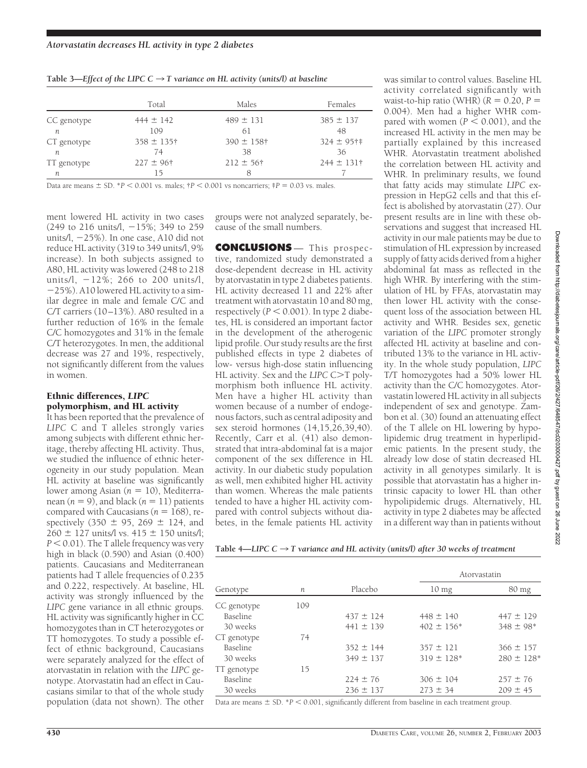|  | Table 3—Effect of the LIPC $C \rightarrow T$ variance on HL activity (units/l) at baseline |  |  |
|--|--------------------------------------------------------------------------------------------|--|--|
|  |                                                                                            |  |  |

|             | Total           | Males           | Females         |
|-------------|-----------------|-----------------|-----------------|
| CC genotype | $444 \pm 142$   | $489 \pm 131$   | $385 \pm 137$   |
| n           | 109             | 61              | 48              |
| CT genotype | $358 \pm 135$ † | $390 \pm 158$ † | $324 \pm 95$ †† |
| n           | 74              | 38              | 36              |
| TT genotype | $227 \pm 96$ †  | $212 \pm 56$ †  | $244 \pm 131$ † |
| п           | 15              | 8               |                 |

Data are means  $\pm$  SD. \**P* < 0.001 vs. males;  $\uparrow$ *P* < 0.001 vs noncarriers;  $\uparrow$ *P* = 0.03 vs. males.

ment lowered HL activity in two cases (249 to 216 units/l,  $-15\%$ ; 349 to 259 units/l, 25%). In one case, A10 did not reduce HL activity (319 to 349 units/l, 9% increase). In both subjects assigned to A80, HL activity was lowered (248 to 218 units/l,  $-12\%$ ; 266 to 200 units/l, 25%). A10 lowered HL activity to a similar degree in male and female C/C and C/T carriers (10–13%). A80 resulted in a further reduction of 16% in the female C/C homozygotes and 31% in the female C/T heterozygotes. In men, the additional decrease was 27 and 19%, respectively, not significantly different from the values in women.

#### Ethnic differences, *LIPC* polymorphism, and HL activity

It has been reported that the prevalence of *LIPC* C and T alleles strongly varies among subjects with different ethnic heritage, thereby affecting HL activity. Thus, we studied the influence of ethnic heterogeneity in our study population. Mean HL activity at baseline was significantly lower among Asian (*n* = 10), Mediterranean  $(n = 9)$ , and black  $(n = 11)$  patients compared with Caucasians ( $n = 168$ ), respectively (350  $\pm$  95, 269  $\pm$  124, and  $260 \pm 127$  units/l vs.  $415 \pm 150$  units/l; P < 0.01). The T allele frequency was very high in black (0.590) and Asian (0.400) patients. Caucasians and Mediterranean patients had T allele frequencies of 0.235 and 0.222, respectively. At baseline, HL activity was strongly influenced by the *LIPC* gene variance in all ethnic groups. HL activity was significantly higher in CC homozygotes than in CT heterozygotes or TT homozygotes. To study a possible effect of ethnic background, Caucasians were separately analyzed for the effect of atorvastatin in relation with the *LIPC* genotype. Atorvastatin had an effect in Caucasians similar to that of the whole study population (data not shown). The other

groups were not analyzed separately, because of the small numbers.

**CONCLUSIONS** — This prospective, randomized study demonstrated a dose-dependent decrease in HL activity by atorvastatin in type 2 diabetes patients. HL activity decreased 11 and 22% after treatment with atorvastatin 10 and 80 mg,  $respectively (P < 0.001)$ . In type 2 diabetes, HL is considered an important factor in the development of the atherogenic lipid profile. Our study results are the first published effects in type 2 diabetes of low- versus high-dose statin influencing HL activity. Sex and the *LIPC* C>T polymorphism both influence HL activity. Men have a higher HL activity than women because of a number of endogenous factors, such as central adiposity and sex steroid hormones (14,15,26,39,40). Recently, Carr et al. (41) also demonstrated that intra-abdominal fat is a major component of the sex difference in HL activity. In our diabetic study population as well, men exhibited higher HL activity than women. Whereas the male patients tended to have a higher HL activity compared with control subjects without diabetes, in the female patients HL activity

was similar to control values. Baseline HL activity correlated significantly with waist-to-hip ratio (WHR)  $(R = 0.20, P =$ 0.004). Men had a higher WHR compared with women  $(P < 0.001)$ , and the increased HL activity in the men may be partially explained by this increased WHR. Atorvastatin treatment abolished the correlation between HL activity and WHR. In preliminary results, we found that fatty acids may stimulate *LIPC* expression in HepG2 cells and that this effect is abolished by atorvastatin (27). Our present results are in line with these observations and suggest that increased HL activity in our male patients may be due to stimulation of HL expression by increased supply of fatty acids derived from a higher abdominal fat mass as reflected in the high WHR. By interfering with the stimulation of HL by FFAs, atorvastatin may then lower HL activity with the consequent loss of the association between HL activity and WHR. Besides sex, genetic variation of the *LIPC* promoter strongly affected HL activity at baseline and contributed 13% to the variance in HL activity. In the whole study population, *LIPC* T/T homozygotes had a 50% lower HL activity than the C/C homozygotes. Atorvastatin lowered HL activity in all subjects independent of sex and genotype. Zambon et al. (30) found an attenuating effect of the T allele on HL lowering by hypolipidemic drug treatment in hyperlipidemic patients. In the present study, the already low dose of statin decreased HL activity in all genotypes similarly. It is possible that atorvastatin has a higher intrinsic capacity to lower HL than other hypolipidemic drugs. Alternatively, HL activity in type 2 diabetes may be affected in a different way than in patients without

Table 4—*LIPC*  $C \rightarrow T$  variance and HL activity (units/l) after 30 weeks of treatment

| Genotype        |     | Placebo       | Atorvastatin               |                            |
|-----------------|-----|---------------|----------------------------|----------------------------|
|                 | n   |               | $10 \text{ mg}$            | $80 \text{ mg}$            |
| CC genotype     | 109 |               |                            |                            |
| Baseline        |     | $437 \pm 124$ | $448 \pm 140$              | $447 \pm 129$              |
| 30 weeks        |     | $441 \pm 139$ | $402 \pm 156*$             | $348 \pm 98$ <sup>*</sup>  |
| CT genotype     | 74  |               |                            |                            |
| <b>Baseline</b> |     | $352 \pm 144$ | $357 \pm 121$              | $366 \pm 157$              |
| 30 weeks        |     | $349 \pm 137$ | $319 \pm 128$ <sup>*</sup> | $280 \pm 128$ <sup>*</sup> |
| TT genotype     | 15  |               |                            |                            |
| Baseline        |     | $224 \pm 76$  | $306 \pm 104$              | $257 \pm 76$               |
| 30 weeks        |     | $236 \pm 137$ | $273 \pm 34$               | $209 \pm 45$               |

Data are means  $\pm$  SD.  $^{*}P$   $<$  0.001, significantly different from baseline in each treatment group.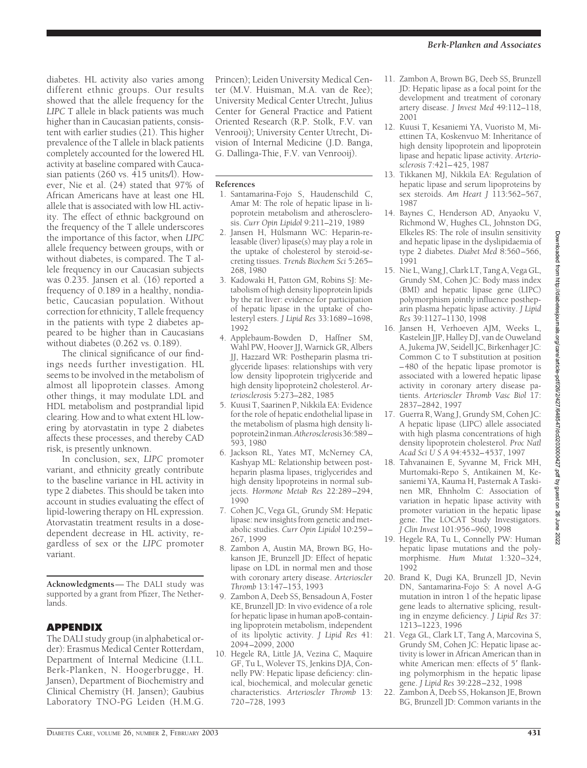diabetes. HL activity also varies among different ethnic groups. Our results showed that the allele frequency for the *LIPC* T allele in black patients was much higher than in Caucasian patients, consistent with earlier studies (21). This higher prevalence of the T allele in black patients completely accounted for the lowered HL activity at baseline compared with Caucasian patients (260 vs. 415 units/l). However, Nie et al. (24) stated that 97% of African Americans have at least one HL allele that is associated with low HL activity. The effect of ethnic background on the frequency of the T allele underscores the importance of this factor, when *LIPC* allele frequency between groups, with or without diabetes, is compared. The T allele frequency in our Caucasian subjects was 0.235. Jansen et al. (16) reported a frequency of 0.189 in a healthy, nondiabetic, Caucasian population. Without correction for ethnicity, T allele frequency in the patients with type 2 diabetes appeared to be higher than in Caucasians without diabetes (0.262 vs. 0.189).

The clinical significance of our findings needs further investigation. HL seems to be involved in the metabolism of almost all lipoprotein classes. Among other things, it may modulate LDL and HDL metabolism and postprandial lipid clearing. How and to what extent HL lowering by atorvastatin in type 2 diabetes affects these processes, and thereby CAD risk, is presently unknown.

In conclusion, sex, *LIPC* promoter variant, and ethnicity greatly contribute to the baseline variance in HL activity in type 2 diabetes. This should be taken into account in studies evaluating the effect of lipid-lowering therapy on HL expression. Atorvastatin treatment results in a dosedependent decrease in HL activity, regardless of sex or the *LIPC* promoter variant.

**Acknowledgments**— The DALI study was supported by a grant from Pfizer, The Netherlands.

# **APPENDIX**

The DALI study group (in alphabetical order): Erasmus Medical Center Rotterdam, Department of Internal Medicine (I.I.L. Berk-Planken, N. Hoogerbrugge, H. Jansen), Department of Biochemistry and Clinical Chemistry (H. Jansen); Gaubius Laboratory TNO-PG Leiden (H.M.G.

Princen); Leiden University Medical Center (M.V. Huisman, M.A. van de Ree); University Medical Center Utrecht, Julius Center for General Practice and Patient Oriented Research (R.P. Stolk, F.V. van Venrooij); University Center Utrecht, Division of Internal Medicine (J.D. Banga, G. Dallinga-Thie, F.V. van Venrooij).

#### **References**

- 1. Santamarina-Fojo S, Haudenschild C, Amar M: The role of hepatic lipase in lipoprotein metabolism and atherosclerosis. *Curr Opin Lipidol* 9:211–219, 1989
- 2. Jansen H, Hülsmann WC: Heparin-releasable (liver) lipase(s) may play a role in the uptake of cholesterol by steroid-secreting tissues. *Trends Biochem Sci* 5:265– 268, 1980
- 3. Kadowaki H, Patton GM, Robins SJ: Metabolism of high density lipoprotein lipids by the rat liver: evidence for participation of hepatic lipase in the uptake of cholesteryl esters. *J Lipid Res* 33:1689–1698, 1992
- 4. Applebaum-Bowden D, Haffner SM, Wahl PW, Hoover JJ, Warnick GR, Albers JJ, Hazzard WR: Postheparin plasma triglyceride lipases: relationships with very low density lipoprotein triglyceride and high density lipoprotein2 cholesterol. *Arteriosclerosis* 5:273–282, 1985
- 5. Kuusi T, Saarinen P, Nikkila EA: Evidence for the role of hepatic endothelial lipase in the metabolism of plasma high density lipoprotein2inman.*Atherosclerosis*36:589– 593, 1980
- 6. Jackson RL, Yates MT, McNerney CA, Kashyap ML: Relationship between postheparin plasma lipases, triglycerides and high density lipoproteins in normal subjects. *Hormone Metab Res* 22:289–294, 1990
- 7. Cohen JC, Vega GL, Grundy SM: Hepatic lipase: new insights from genetic and metabolic studies. *Curr Opin Lipidol* 10:259– 267, 1999
- 8. Zambon A, Austin MA, Brown BG, Hokanson JE, Brunzell JD: Effect of hepatic lipase on LDL in normal men and those with coronary artery disease. *Arterioscler Thromb* 13:147–153, 1993
- 9. Zambon A, Deeb SS, Bensadoun A, Foster KE, Brunzell JD: In vivo evidence of a role for hepatic lipase in human apoB-containing lipoprotein metabolism, independent of its lipolytic activity. *J Lipid Res* 41: 2094–2099, 2000
- 10. Hegele RA, Little JA, Vezina C, Maquire GF, Tu L, Wolever TS, Jenkins DJA, Connelly PW: Hepatic lipase deficiency: clinical, biochemical, and molecular genetic characteristics. *Arterioscler Thromb* 13: 720–728, 1993
- 11. Zambon A, Brown BG, Deeb SS, Brunzell JD: Hepatic lipase as a focal point for the development and treatment of coronary artery disease. *J Invest Med* 49:112–118, 2001
- 12. Kuusi T, Kesaniemi YA, Vuoristo M, Miettinen TA, Koskenvuo M: Inheritance of high density lipoprotein and lipoprotein lipase and hepatic lipase activity. *Arteriosclerosis* 7:421–425, 1987
- 13. Tikkanen MJ, Nikkila EA: Regulation of hepatic lipase and serum lipoproteins by sex steroids. *Am Heart J* 113:562–567, 1987
- 14. Baynes C, Henderson AD, Anyaoku V, Richmond W, Hughes CL, Johnston DG, Elkeles RS: The role of insulin sensitivity and hepatic lipase in the dyslipidaemia of type 2 diabetes. *Diabet Med* 8:560–566, 1991
- 15. Nie L, Wang J, Clark LT, Tang A, Vega GL, Grundy SM, Cohen JC: Body mass index (BMI) and hepatic lipase gene (LIPC) polymorphism jointly influence postheparin plasma hepatic lipase activity. *J Lipid Res* 39:1127–1130, 1998
- 16. Jansen H, Verhoeven AJM, Weeks L, Kastelein JJP, Halley DJ, van de Ouweland A, Jukema JW, Seidell JC, Birkenhager JC: Common C to T substitution at position –480 of the hepatic lipase promotor is associated with a lowered hepatic lipase activity in coronary artery disease patients. *Arterioscler Thromb Vasc Biol* 17: 2837–2842, 1997
- 17. Guerra R, Wang J, Grundy SM, Cohen JC: A hepatic lipase (LIPC) allele associated with high plasma concentrations of high density lipoprotein cholesterol. *Proc Natl Acad SciUSA* 94:4532–4537, 1997
- 18. Tahvanainen E, Syvanne M, Frick MH, Murtomaki-Repo S, Antikainen M, Kesaniemi YA, Kauma H, Pasternak A Taskinen MR, Ehnholm C: Association of variation in hepatic lipase activity with promoter variation in the hepatic lipase gene. The LOCAT Study Investigators. *J Clin Invest* 101:956–960, 1998
- 19. Hegele RA, Tu L, Connelly PW: Human hepatic lipase mutations and the polymorphisme. *Hum Mutat* 1:320–324, 1992
- 20. Brand K, Dugi KA, Brunzell JD, Nevin DN, Santamarina-Fojo S: A novel A-G mutation in intron 1 of the hepatic lipase gene leads to alternative splicing, resulting in enzyme deficiency. *J Lipid Res* 37: 1213–1223, 1996
- 21. Vega GL, Clark LT, Tang A, Marcovina S, Grundy SM, Cohen JC: Hepatic lipase activity is lower in African American than in white American men: effects of 5' flanking polymorphism in the hepatic lipase gene. *J Lipid Res* 39:228–232, 1998
- 22. Zambon A, Deeb SS, Hokanson JE, Brown BG, Brunzell JD: Common variants in the